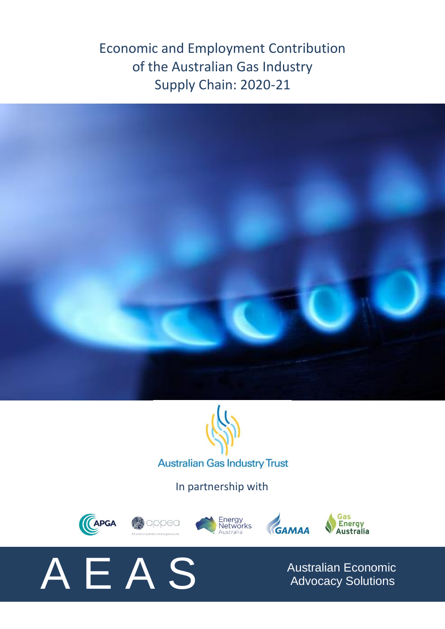Economic and Employment Contribution of the Australian Gas Industry Supply Chain: 2020-21





In partnership with











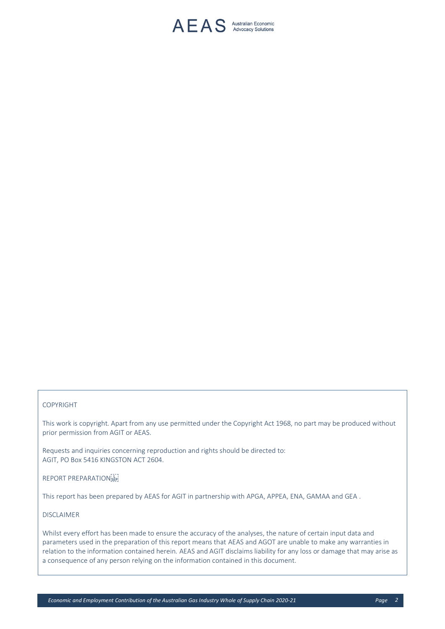

#### COPYRIGHT

This work is copyright. Apart from any use permitted under the Copyright Act 1968, no part may be produced without prior permission from AGIT or AEAS.

Requests and inquiries concerning reproduction and rights should be directed to: AGIT, PO Box 5416 KINGSTON ACT 2604.

REPORT PREPARATIONSER

This report has been prepared by AEAS for AGIT in partnership with APGA, APPEA, ENA, GAMAA and GEA .

#### DISCLAIMER

Whilst every effort has been made to ensure the accuracy of the analyses, the nature of certain input data and parameters used in the preparation of this report means that AEAS and AGOT are unable to make any warranties in relation to the information contained herein. AEAS and AGIT disclaims liability for any loss or damage that may arise as a consequence of any person relying on the information contained in this document.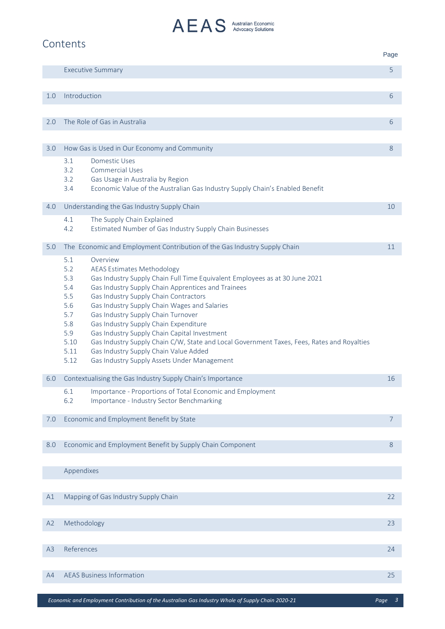## Contents

|                |                                                                                                                                                           | Page           |
|----------------|-----------------------------------------------------------------------------------------------------------------------------------------------------------|----------------|
|                | <b>Executive Summary</b>                                                                                                                                  | 5              |
|                |                                                                                                                                                           |                |
| 1.0            | Introduction                                                                                                                                              | 6              |
|                |                                                                                                                                                           |                |
| 2.0            | The Role of Gas in Australia                                                                                                                              | 6              |
|                |                                                                                                                                                           |                |
| 3.0            | How Gas is Used in Our Economy and Community                                                                                                              | 8              |
|                | 3.1<br><b>Domestic Uses</b><br>3.2<br>Commercial Uses                                                                                                     |                |
|                | 3.2<br>Gas Usage in Australia by Region                                                                                                                   |                |
|                | 3.4<br>Economic Value of the Australian Gas Industry Supply Chain's Enabled Benefit                                                                       |                |
| 4.0            | Understanding the Gas Industry Supply Chain                                                                                                               | 10             |
|                | 4.1<br>The Supply Chain Explained                                                                                                                         |                |
|                | 4.2<br>Estimated Number of Gas Industry Supply Chain Businesses                                                                                           |                |
| 5.0            | The Economic and Employment Contribution of the Gas Industry Supply Chain                                                                                 | 11             |
|                | 5.1<br>Overview                                                                                                                                           |                |
|                | 5.2<br><b>AEAS Estimates Methodology</b><br>5.3<br>Gas Industry Supply Chain Full Time Equivalent Employees as at 30 June 2021                            |                |
|                | 5.4<br>Gas Industry Supply Chain Apprentices and Trainees                                                                                                 |                |
|                | 5.5<br>Gas Industry Supply Chain Contractors<br>5.6<br>Gas Industry Supply Chain Wages and Salaries                                                       |                |
|                | 5.7<br>Gas Industry Supply Chain Turnover                                                                                                                 |                |
|                | 5.8<br>Gas Industry Supply Chain Expenditure                                                                                                              |                |
|                | 5.9<br>Gas Industry Supply Chain Capital Investment<br>5.10<br>Gas Industry Supply Chain C/W, State and Local Government Taxes, Fees, Rates and Royalties |                |
|                | 5.11<br>Gas Industry Supply Chain Value Added                                                                                                             |                |
|                | 5.12<br>Gas Industry Supply Assets Under Management                                                                                                       |                |
| 6.0            | Contextualising the Gas Industry Supply Chain's Importance                                                                                                | 16             |
|                | Importance - Proportions of Total Economic and Employment<br>6.1                                                                                          |                |
|                | 6.2<br>Importance - Industry Sector Benchmarking                                                                                                          |                |
| 7.0            | Economic and Employment Benefit by State                                                                                                                  | $\overline{7}$ |
|                |                                                                                                                                                           |                |
| 8.0            | Economic and Employment Benefit by Supply Chain Component                                                                                                 | 8              |
|                |                                                                                                                                                           |                |
|                | Appendixes                                                                                                                                                |                |
|                |                                                                                                                                                           |                |
| A1             | Mapping of Gas Industry Supply Chain                                                                                                                      | 22             |
| A <sub>2</sub> | Methodology                                                                                                                                               | 23             |
|                |                                                                                                                                                           |                |
| A3             | References                                                                                                                                                | 24             |
|                |                                                                                                                                                           |                |
| A4             | <b>AEAS Business Information</b>                                                                                                                          | 25             |
|                |                                                                                                                                                           |                |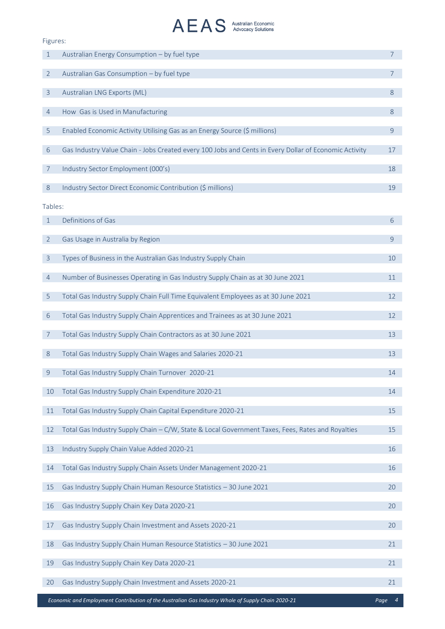| Figures:       |                                                                                                       |                |
|----------------|-------------------------------------------------------------------------------------------------------|----------------|
| $\mathbf 1$    | Australian Energy Consumption - by fuel type                                                          | 7              |
| $\overline{2}$ | Australian Gas Consumption - by fuel type                                                             | $\overline{7}$ |
| $\overline{3}$ | Australian LNG Exports (ML)                                                                           | 8              |
| $\overline{4}$ | How Gas is Used in Manufacturing                                                                      | 8              |
| 5              | Enabled Economic Activity Utilising Gas as an Energy Source (\$ millions)                             | 9              |
| 6              | Gas Industry Value Chain - Jobs Created every 100 Jobs and Cents in Every Dollar of Economic Activity | 17             |
| 7              | Industry Sector Employment (000's)                                                                    | 18             |
| $\,8\,$        | Industry Sector Direct Economic Contribution (\$ millions)                                            | 19             |
| Tables:        |                                                                                                       |                |
| $\mathbf{1}$   | Definitions of Gas                                                                                    | 6              |
| $\overline{2}$ | Gas Usage in Australia by Region                                                                      | 9              |
| $\mathsf{3}$   | Types of Business in the Australian Gas Industry Supply Chain                                         | 10             |
| $\overline{4}$ | Number of Businesses Operating in Gas Industry Supply Chain as at 30 June 2021                        | 11             |
| 5              | Total Gas Industry Supply Chain Full Time Equivalent Employees as at 30 June 2021                     | 12             |
| 6              | Total Gas Industry Supply Chain Apprentices and Trainees as at 30 June 2021                           | 12             |
| 7              | Total Gas Industry Supply Chain Contractors as at 30 June 2021                                        | 13             |
| $\,8\,$        | Total Gas Industry Supply Chain Wages and Salaries 2020-21                                            | 13             |
| 9              | Total Gas Industry Supply Chain Turnover 2020-21                                                      | 14             |
| 10             | Total Gas Industry Supply Chain Expenditure 2020-21                                                   | 14             |
| 11             | Total Gas Industry Supply Chain Capital Expenditure 2020-21                                           | 15             |
| 12             | Total Gas Industry Supply Chain - C/W, State & Local Government Taxes, Fees, Rates and Royalties      | 15             |
| 13             | Industry Supply Chain Value Added 2020-21                                                             | 16             |
| 14             | Total Gas Industry Supply Chain Assets Under Management 2020-21                                       | 16             |
| 15             | Gas Industry Supply Chain Human Resource Statistics - 30 June 2021                                    | 20             |
| 16             | Gas Industry Supply Chain Key Data 2020-21                                                            | 20             |
| 17             | Gas Industry Supply Chain Investment and Assets 2020-21                                               | 20             |
| 18             | Gas Industry Supply Chain Human Resource Statistics - 30 June 2021                                    | 21             |
| 19             | Gas Industry Supply Chain Key Data 2020-21                                                            | 21             |
| 20             | Gas Industry Supply Chain Investment and Assets 2020-21                                               | 21             |
|                | Economic and Employment Contribution of the Australian Gas Industry Whole of Supply Chain 2020-21     | Page 4         |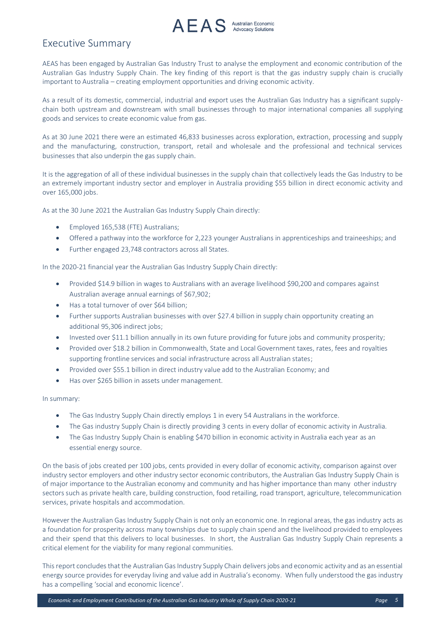

### Executive Summary

AEAS has been engaged by Australian Gas Industry Trust to analyse the employment and economic contribution of the Australian Gas Industry Supply Chain. The key finding of this report is that the gas industry supply chain is crucially important to Australia – creating employment opportunities and driving economic activity.

As a result of its domestic, commercial, industrial and export uses the Australian Gas Industry has a significant supplychain both upstream and downstream with small businesses through to major international companies all supplying goods and services to create economic value from gas.

As at 30 June 2021 there were an estimated 46,833 businesses across exploration, extraction, processing and supply and the manufacturing, construction, transport, retail and wholesale and the professional and technical services businesses that also underpin the gas supply chain.

It is the aggregation of all of these individual businesses in the supply chain that collectively leads the Gas Industry to be an extremely important industry sector and employer in Australia providing \$55 billion in direct economic activity and over 165,000 jobs.

As at the 30 June 2021 the Australian Gas Industry Supply Chain directly:

- Employed 165,538 (FTE) Australians;
- Offered a pathway into the workforce for 2,223 younger Australians in apprenticeships and traineeships; and
- Further engaged 23,748 contractors across all States.

In the 2020-21 financial year the Australian Gas Industry Supply Chain directly:

- Provided \$14.9 billion in wages to Australians with an average livelihood \$90,200 and compares against Australian average annual earnings of \$67,902;
- Has a total turnover of over \$64 billion;
- Further supports Australian businesses with over \$27.4 billion in supply chain opportunity creating an additional 95,306 indirect jobs;
- Invested over \$11.1 billion annually in its own future providing for future jobs and community prosperity;
- Provided over \$18.2 billion in Commonwealth, State and Local Government taxes, rates, fees and royalties supporting frontline services and social infrastructure across all Australian states;
- Provided over \$55.1 billion in direct industry value add to the Australian Economy; and
- Has over \$265 billion in assets under management.

In summary:

- The Gas Industry Supply Chain directly employs 1 in every 54 Australians in the workforce.
- The Gas industry Supply Chain is directly providing 3 cents in every dollar of economic activity in Australia.
- The Gas Industry Supply Chain is enabling \$470 billion in economic activity in Australia each year as an essential energy source.

On the basis of jobs created per 100 jobs, cents provided in every dollar of economic activity, comparison against over industry sector employers and other industry sector economic contributors, the Australian Gas Industry Supply Chain is of major importance to the Australian economy and community and has higher importance than many other industry sectors such as private health care, building construction, food retailing, road transport, agriculture, telecommunication services, private hospitals and accommodation.

However the Australian Gas Industry Supply Chain is not only an economic one. In regional areas, the gas industry acts as a foundation for prosperity across many townships due to supply chain spend and the livelihood provided to employees and their spend that this delivers to local businesses. In short, the Australian Gas Industry Supply Chain represents a critical element for the viability for many regional communities.

This report concludes that the Australian Gas Industry Supply Chain delivers jobs and economic activity and as an essential energy source provides for everyday living and value add in Australia's economy. When fully understood the gas industry has a compelling 'social and economic licence'.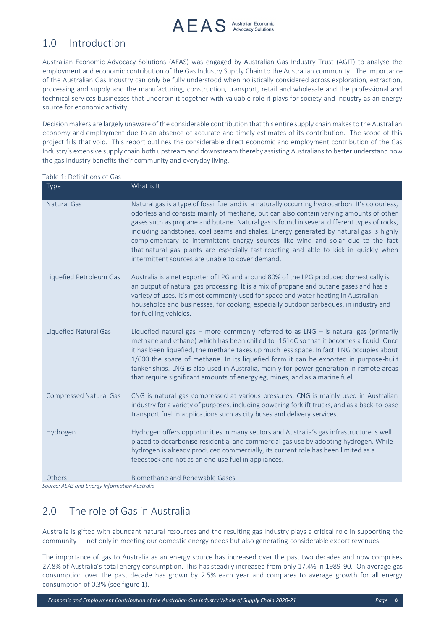

### 1.0 Introduction

Australian Economic Advocacy Solutions (AEAS) was engaged by Australian Gas Industry Trust (AGIT) to analyse the employment and economic contribution of the Gas Industry Supply Chain to the Australian community. The importance of the Australian Gas Industry can only be fully understood when holistically considered across exploration, extraction, processing and supply and the manufacturing, construction, transport, retail and wholesale and the professional and technical services businesses that underpin it together with valuable role it plays for society and industry as an energy source for economic activity.

Decision makers are largely unaware of the considerable contribution that this entire supply chain makes to the Australian economy and employment due to an absence of accurate and timely estimates of its contribution. The scope of this project fills that void. This report outlines the considerable direct economic and employment contribution of the Gas Industry's extensive supply chain both upstream and downstream thereby assisting Australians to better understand how the gas Industry benefits their community and everyday living.

| Type                          | What is It                                                                                                                                                                                                                                                                                                                                                                                                                                                                                                                                                                                                          |
|-------------------------------|---------------------------------------------------------------------------------------------------------------------------------------------------------------------------------------------------------------------------------------------------------------------------------------------------------------------------------------------------------------------------------------------------------------------------------------------------------------------------------------------------------------------------------------------------------------------------------------------------------------------|
| <b>Natural Gas</b>            | Natural gas is a type of fossil fuel and is a naturally occurring hydrocarbon. It's colourless,<br>odorless and consists mainly of methane, but can also contain varying amounts of other<br>gases such as propane and butane. Natural gas is found in several different types of rocks,<br>including sandstones, coal seams and shales. Energy generated by natural gas is highly<br>complementary to intermittent energy sources like wind and solar due to the fact<br>that natural gas plants are especially fast-reacting and able to kick in quickly when<br>intermittent sources are unable to cover demand. |
| Liquefied Petroleum Gas       | Australia is a net exporter of LPG and around 80% of the LPG produced domestically is<br>an output of natural gas processing. It is a mix of propane and butane gases and has a<br>variety of uses. It's most commonly used for space and water heating in Australian<br>households and businesses, for cooking, especially outdoor barbeques, in industry and<br>for fuelling vehicles.                                                                                                                                                                                                                            |
| Liquefied Natural Gas         | Liquefied natural gas - more commonly referred to as LNG - is natural gas (primarily<br>methane and ethane) which has been chilled to -161oC so that it becomes a liquid. Once<br>it has been liquefied, the methane takes up much less space. In fact, LNG occupies about<br>1/600 the space of methane. In its liquefied form it can be exported in purpose-built<br>tanker ships. LNG is also used in Australia, mainly for power generation in remote areas<br>that require significant amounts of energy eg, mines, and as a marine fuel.                                                                      |
| <b>Compressed Natural Gas</b> | CNG is natural gas compressed at various pressures. CNG is mainly used in Australian<br>industry for a variety of purposes, including powering forklift trucks, and as a back-to-base<br>transport fuel in applications such as city buses and delivery services.                                                                                                                                                                                                                                                                                                                                                   |
| Hydrogen                      | Hydrogen offers opportunities in many sectors and Australia's gas infrastructure is well<br>placed to decarbonise residential and commercial gas use by adopting hydrogen. While<br>hydrogen is already produced commercially, its current role has been limited as a<br>feedstock and not as an end use fuel in appliances.                                                                                                                                                                                                                                                                                        |
| Others                        | Biomethane and Renewable Gases                                                                                                                                                                                                                                                                                                                                                                                                                                                                                                                                                                                      |

Table 1: Definitions of Gas

*Source: AEAS and Energy Information Australia*

### 2.0 The role of Gas in Australia

Australia is gifted with abundant natural resources and the resulting gas Industry plays a critical role in supporting the community — not only in meeting our domestic energy needs but also generating considerable export revenues.

The importance of gas to Australia as an energy source has increased over the past two decades and now comprises 27.8% of Australia's total energy consumption. This has steadily increased from only 17.4% in 1989-90. On average gas consumption over the past decade has grown by 2.5% each year and compares to average growth for all energy consumption of 0.3% (see figure 1).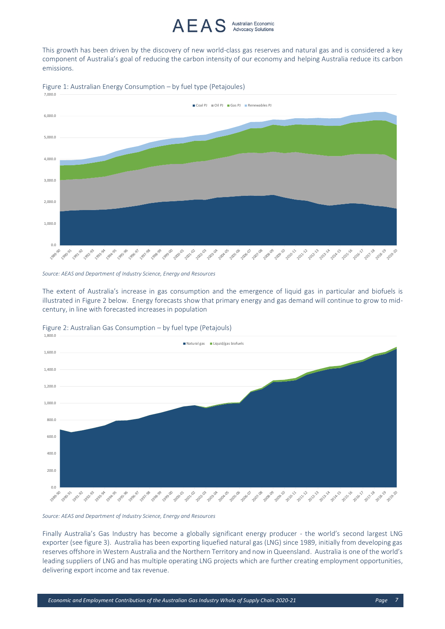

This growth has been driven by the discovery of new world-class gas reserves and natural gas and is considered a key component of Australia's goal of reducing the carbon intensity of our economy and helping Australia reduce its carbon emissions.



Figure 1: Australian Energy Consumption – by fuel type (Petajoules)

The extent of Australia's increase in gas consumption and the emergence of liquid gas in particular and biofuels is illustrated in Figure 2 below. Energy forecasts show that primary energy and gas demand will continue to grow to midcentury, in line with forecasted increases in population



Figure 2: Australian Gas Consumption – by fuel type (Petajouls)

Finally Australia's Gas Industry has become a globally significant energy producer - the world's second largest LNG exporter (see figure 3). Australia has been exporting liquefied natural gas (LNG) since 1989, initially from developing gas reserves offshore in Western Australia and the Northern Territory and now in Queensland. Australia is one of the world's leading suppliers of LNG and has multiple operating LNG projects which are further creating employment opportunities, delivering export income and tax revenue.

*Source: AEAS and Department of Industry Science, Energy and Resources* 

*Source: AEAS and Department of Industry Science, Energy and Resources*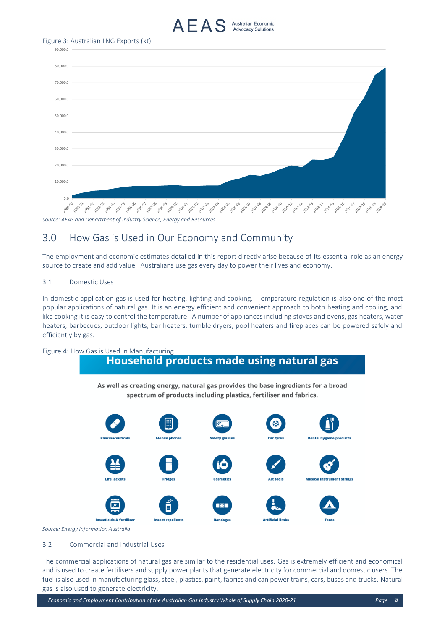



90,000.0



*Source: AEAS and Department of Industry Science, Energy and Resources* 

### 3.0 How Gas is Used in Our Economy and Community

The employment and economic estimates detailed in this report directly arise because of its essential role as an energy source to create and add value. Australians use gas every day to power their lives and economy.

#### 3.1 Domestic Uses

In domestic application gas is used for heating, lighting and cooking. Temperature regulation is also one of the most popular applications of natural gas. It is an energy efficient and convenient approach to both heating and cooling, and like cooking it is easy to control the temperature. A number of appliances including stoves and ovens, gas heaters, water heaters, barbecues, outdoor lights, bar heaters, tumble dryers, pool heaters and fireplaces can be powered safely and efficiently by gas.

Figure 4: How Gas is Used In Manufacturing



*Source: Energy Information Australia*

#### 3.2 Commercial and Industrial Uses

The commercial applications of natural gas are similar to the residential uses. Gas is extremely efficient and economical and is used to create fertilisers and supply power plants that generate electricity for commercial and domestic users. The fuel is also used in manufacturing glass, steel, plastics, paint, fabrics and can power trains, cars, buses and trucks. Natural gas is also used to generate electricity.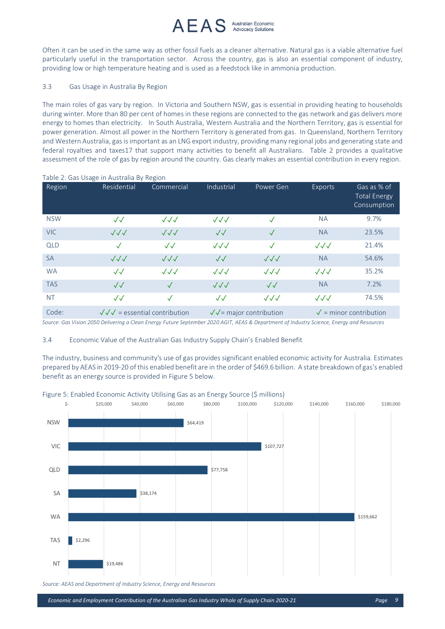

Often it can be used in the same way as other fossil fuels as a cleaner alternative. Natural gas is a viable alternative fuel particularly useful in the transportation sector. Across the country, gas is also an essential component of industry, providing low or high temperature heating and is used as a feedstock like in ammonia production.

#### 3.3 Gas Usage in Australia By Region

The main roles of gas vary by region. In Victoria and Southern NSW, gas is essential in providing heating to households during winter. More than 80 per cent of homes in these regions are connected to the gas network and gas delivers more energy to homes than electricity. In South Australia, Western Australia and the Northern Territory, gas is essential for power generation. Almost all power in the Northern Territory is generated from gas. In Queensland, Northern Territory and Western Australia, gas is important as an LNG export industry, providing many regional jobs and generating state and federal royalties and taxes17 that support many activities to benefit all Australians. Table 2 provides a qualitative assessment of the role of gas by region around the country. Gas clearly makes an essential contribution in every region.

| Region     | $\frac{1}{2}$ and $\frac{1}{2}$ and $\frac{1}{2}$ and $\frac{1}{2}$ and $\frac{1}{2}$ and $\frac{1}{2}$ and $\frac{1}{2}$ and $\frac{1}{2}$ and $\frac{1}{2}$ and $\frac{1}{2}$ and $\frac{1}{2}$ and $\frac{1}{2}$ and $\frac{1}{2}$ and $\frac{1}{2}$ and $\frac{1}{2}$ and $\frac{1}{2}$ a<br>Residential | Commercial             | Industrial        | Power Gen        | Exports          | Gas as % of<br><b>Total Energy</b><br>Consumption |
|------------|--------------------------------------------------------------------------------------------------------------------------------------------------------------------------------------------------------------------------------------------------------------------------------------------------------------|------------------------|-------------------|------------------|------------------|---------------------------------------------------|
| <b>NSW</b> | $\checkmark$                                                                                                                                                                                                                                                                                                 | $\sqrt{\sqrt{}}$       | $\sqrt{\sqrt{}}$  | $\sqrt{}$        | <b>NA</b>        | 9.7%                                              |
| <b>VIC</b> | $\sqrt{\sqrt{}}$                                                                                                                                                                                                                                                                                             | $\sqrt{\sqrt{}}$       | $\sqrt{}$         | $\sqrt{}$        | <b>NA</b>        | 23.5%                                             |
| <b>QLD</b> | $\sqrt{}$                                                                                                                                                                                                                                                                                                    | $\checkmark\checkmark$ | $\sqrt{\sqrt{}}$  | $\sqrt{}$        | $\sqrt{\sqrt{}}$ | 21.4%                                             |
| <b>SA</b>  | $\sqrt{\sqrt{}}$                                                                                                                                                                                                                                                                                             | $\sqrt{\sqrt{}}$       | $\sqrt{\sqrt{2}}$ | $\sqrt{\sqrt{}}$ | <b>NA</b>        | 54.6%                                             |
| <b>WA</b>  | $\checkmark\checkmark$                                                                                                                                                                                                                                                                                       | $\sqrt{\sqrt{2}}$      | $\sqrt{\sqrt{}}$  | $\sqrt{\sqrt{}}$ | $\sqrt{\sqrt{}}$ | 35.2%                                             |
| <b>TAS</b> | $\sqrt{\sqrt{2}}$                                                                                                                                                                                                                                                                                            | $\checkmark$           | $\sqrt{\sqrt{}}$  | $\sqrt{}$        | <b>NA</b>        | 7.2%                                              |
| <b>NT</b>  | $\checkmark$                                                                                                                                                                                                                                                                                                 | $\checkmark$           | $\sqrt{\sqrt{2}}$ | $\sqrt{\sqrt{}}$ | $\sqrt{\sqrt{}}$ | 74.5%                                             |

Table 2: Gas Usage in Australia By Region

Code:  $\sqrt{1}$  = essential contribution  $\sqrt{1}$  major contribution  $\sqrt{}$  = minor contribution *Source: Gas Vision 2050 Delivering a Clean Energy Future September 2020 AGIT, AEAS & Department of Industry Science, Energy and Resources*

#### 3.4 Economic Value of the Australian Gas Industry Supply Chain's Enabled Benefit

The industry, business and community's use of gas provides significant enabled economic activity for Australia. Estimates prepared by AEAS in 2019-20 of this enabled benefit are in the order of \$469.6 billion. A state breakdown of gas's enabled benefit as an energy source is provided in Figure 5 below.



Figure 5: Enabled Economic Activity Utilising Gas as an Energy Source (\$ millions)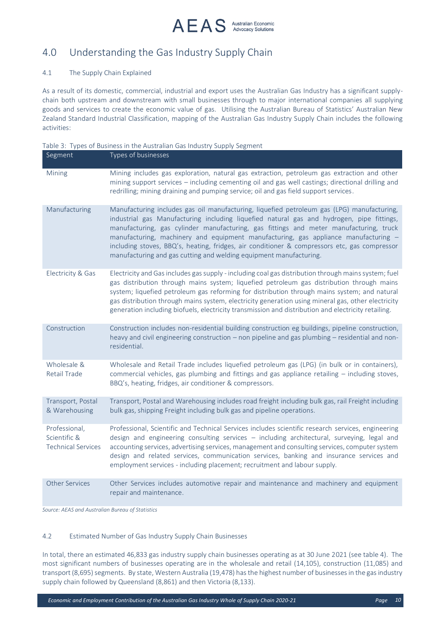

### 4.0 Understanding the Gas Industry Supply Chain

#### 4.1 The Supply Chain Explained

As a result of its domestic, commercial, industrial and export uses the Australian Gas Industry has a significant supplychain both upstream and downstream with small businesses through to major international companies all supplying goods and services to create the economic value of gas. Utilising the Australian Bureau of Statistics' Australian New Zealand Standard Industrial Classification, mapping of the Australian Gas Industry Supply Chain includes the following activities:

#### Table 3: Types of Business in the Australian Gas Industry Supply Segment

| Segment                                                    | Types of businesses                                                                                                                                                                                                                                                                                                                                                                                                                                                                                                                            |
|------------------------------------------------------------|------------------------------------------------------------------------------------------------------------------------------------------------------------------------------------------------------------------------------------------------------------------------------------------------------------------------------------------------------------------------------------------------------------------------------------------------------------------------------------------------------------------------------------------------|
| Mining                                                     | Mining includes gas exploration, natural gas extraction, petroleum gas extraction and other<br>mining support services - including cementing oil and gas well castings; directional drilling and<br>redrilling; mining draining and pumping service; oil and gas field support services.                                                                                                                                                                                                                                                       |
| Manufacturing                                              | Manufacturing includes gas oil manufacturing, liquefied petroleum gas (LPG) manufacturing,<br>industrial gas Manufacturing including liquefied natural gas and hydrogen, pipe fittings,<br>manufacturing, gas cylinder manufacturing, gas fittings and meter manufacturing, truck<br>manufacturing, machinery and equipment manufacturing, gas appliance manufacturing -<br>including stoves, BBQ's, heating, fridges, air conditioner & compressors etc, gas compressor<br>manufacturing and gas cutting and welding equipment manufacturing. |
| Electricity & Gas                                          | Electricity and Gas includes gas supply - including coal gas distribution through mains system; fuel<br>gas distribution through mains system; liquefied petroleum gas distribution through mains<br>system; liquefied petroleum gas reforming for distribution through mains system; and natural<br>gas distribution through mains system, electricity generation using mineral gas, other electricity<br>generation including biofuels, electricity transmission and distribution and electricity retailing.                                 |
| Construction                                               | Construction includes non-residential building construction eg buildings, pipeline construction,<br>heavy and civil engineering construction - non pipeline and gas plumbing - residential and non-<br>residential.                                                                                                                                                                                                                                                                                                                            |
| Wholesale &<br>Retail Trade                                | Wholesale and Retail Trade includes liquefied petroleum gas (LPG) (in bulk or in containers),<br>commercial vehicles, gas plumbing and fittings and gas appliance retailing - including stoves,<br>BBQ's, heating, fridges, air conditioner & compressors.                                                                                                                                                                                                                                                                                     |
| Transport, Postal<br>& Warehousing                         | Transport, Postal and Warehousing includes road freight including bulk gas, rail Freight including<br>bulk gas, shipping Freight including bulk gas and pipeline operations.                                                                                                                                                                                                                                                                                                                                                                   |
| Professional,<br>Scientific &<br><b>Technical Services</b> | Professional, Scientific and Technical Services includes scientific research services, engineering<br>design and engineering consulting services - including architectural, surveying, legal and<br>accounting services, advertising services, management and consulting services, computer system<br>design and related services, communication services, banking and insurance services and<br>employment services - including placement; recruitment and labour supply.                                                                     |
| <b>Other Services</b>                                      | Other Services includes automotive repair and maintenance and machinery and equipment<br>repair and maintenance.                                                                                                                                                                                                                                                                                                                                                                                                                               |

*Source: AEAS and Australian Bureau of Statistics*

#### 4.2 Estimated Number of Gas Industry Supply Chain Businesses

In total, there an estimated 46,833 gas industry supply chain businesses operating as at 30 June 2021 (see table 4). The most significant numbers of businesses operating are in the wholesale and retail (14,105), construction (11,085) and transport (8,695) segments. By state, Western Australia (19,478) has the highest number of businesses in the gas industry supply chain followed by Queensland (8,861) and then Victoria (8,133).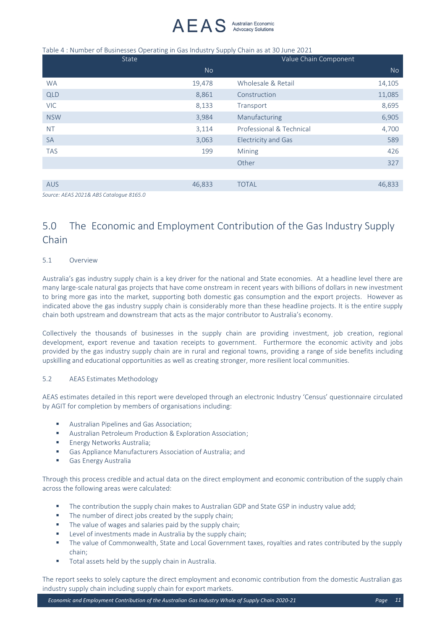

#### Table 4 : Number of Businesses Operating in Gas Industry Supply Chain as at 30 June 2021

| $\overline{\phantom{0}}$<br>State       |           | $\cdots$<br>Value Chain Component |        |
|-----------------------------------------|-----------|-----------------------------------|--------|
|                                         | <b>No</b> |                                   | No     |
| <b>WA</b>                               | 19,478    | Wholesale & Retail                | 14,105 |
| QLD                                     | 8,861     | Construction                      | 11,085 |
| <b>VIC</b>                              | 8,133     | Transport                         | 8,695  |
| <b>NSW</b>                              | 3,984     | Manufacturing                     | 6,905  |
| <b>NT</b>                               | 3,114     | Professional & Technical          | 4,700  |
| <b>SA</b>                               | 3,063     | <b>Electricity and Gas</b>        | 589    |
| <b>TAS</b>                              | 199       | Mining                            | 426    |
|                                         |           | Other                             | 327    |
|                                         |           |                                   |        |
| <b>AUS</b>                              | 46,833    | <b>TOTAL</b>                      | 46,833 |
| Source: AEAS 2021& ABS Catalogue 8165.0 |           |                                   |        |

## 5.0 The Economic and Employment Contribution of the Gas Industry Supply Chain

#### 5.1 Overview

Australia's gas industry supply chain is a key driver for the national and State economies. At a headline level there are many large-scale natural gas projects that have come onstream in recent years with billions of dollars in new investment to bring more gas into the market, supporting both domestic gas consumption and the export projects. However as indicated above the gas industry supply chain is considerably more than these headline projects. It is the entire supply chain both upstream and downstream that acts as the major contributor to Australia's economy.

Collectively the thousands of businesses in the supply chain are providing investment, job creation, regional development, export revenue and taxation receipts to government. Furthermore the economic activity and jobs provided by the gas industry supply chain are in rural and regional towns, providing a range of side benefits including upskilling and educational opportunities as well as creating stronger, more resilient local communities.

#### 5.2 AEAS Estimates Methodology

AEAS estimates detailed in this report were developed through an electronic Industry 'Census' questionnaire circulated by AGIT for completion by members of organisations including:

- Australian Pipelines and Gas Association;
- Australian Petroleum Production & Exploration Association;
- **■** Energy Networks Australia;
- Gas Appliance Manufacturers Association of Australia; and
- **■** Gas Energy Australia

Through this process credible and actual data on the direct employment and economic contribution of the supply chain across the following areas were calculated:

- The contribution the supply chain makes to Australian GDP and State GSP in industry value add;
- The number of direct jobs created by the supply chain;
- The value of wages and salaries paid by the supply chain;
- Level of investments made in Australia by the supply chain;
- The value of Commonwealth, State and Local Government taxes, royalties and rates contributed by the supply chain;
- Total assets held by the supply chain in Australia.

The report seeks to solely capture the direct employment and economic contribution from the domestic Australian gas industry supply chain including supply chain for export markets.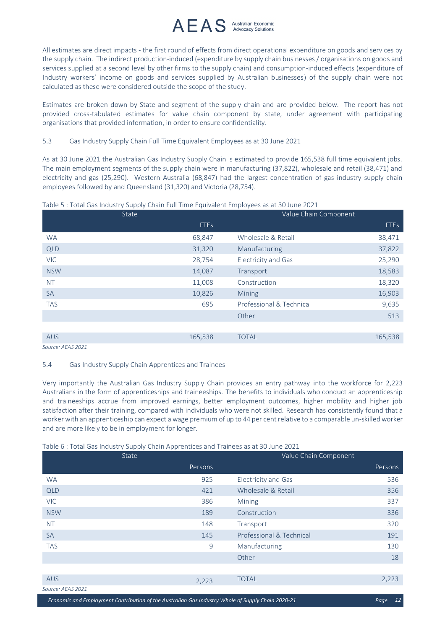

All estimates are direct impacts - the first round of effects from direct operational expenditure on goods and services by the supply chain. The indirect production-induced (expenditure by supply chain businesses / organisations on goods and services supplied at a second level by other firms to the supply chain) and consumption-induced effects (expenditure of Industry workers' income on goods and services supplied by Australian businesses) of the supply chain were not calculated as these were considered outside the scope of the study.

Estimates are broken down by State and segment of the supply chain and are provided below. The report has not provided cross-tabulated estimates for value chain component by state, under agreement with participating organisations that provided information, in order to ensure confidentiality.

#### 5.3 Gas Industry Supply Chain Full Time Equivalent Employees as at 30 June 2021

As at 30 June 2021 the Australian Gas Industry Supply Chain is estimated to provide 165,538 full time equivalent jobs. The main employment segments of the supply chain were in manufacturing (37,822), wholesale and retail (38,471) and electricity and gas (25,290). Western Australia (68,847) had the largest concentration of gas industry supply chain employees followed by and Queensland (31,320) and Victoria (28,754).

| State      |             | Table 5 . Total Gas industry Supply Chain Full Time Equivalent Employees as at So June 2021<br>Value Chain Component |                  |
|------------|-------------|----------------------------------------------------------------------------------------------------------------------|------------------|
|            | <b>FTEs</b> |                                                                                                                      | FTE <sub>s</sub> |
| <b>WA</b>  | 68,847      | Wholesale & Retail                                                                                                   | 38,471           |
| QLD        | 31,320      | Manufacturing                                                                                                        | 37,822           |
| <b>VIC</b> | 28,754      | <b>Electricity and Gas</b>                                                                                           | 25,290           |
| <b>NSW</b> | 14,087      | Transport                                                                                                            | 18,583           |
| <b>NT</b>  | 11,008      | Construction                                                                                                         | 18,320           |
| <b>SA</b>  | 10,826      | Mining                                                                                                               | 16,903           |
| <b>TAS</b> | 695         | Professional & Technical                                                                                             | 9,635            |
|            |             | Other                                                                                                                | 513              |
|            |             |                                                                                                                      |                  |
| <b>AUS</b> | 165,538     | <b>TOTAL</b>                                                                                                         | 165,538          |
|            |             |                                                                                                                      |                  |

Table 5 : Total Gas Industry Supply Chain Full Time Equivalent Employees as at 30 June 2021

*Source: AEAS 2021*

#### 5.4 Gas Industry Supply Chain Apprentices and Trainees

Very importantly the Australian Gas Industry Supply Chain provides an entry pathway into the workforce for 2,223 Australians in the form of apprenticeships and traineeships. The benefits to individuals who conduct an apprenticeship and traineeships accrue from improved earnings, better employment outcomes, higher mobility and higher job satisfaction after their training, compared with individuals who were not skilled. Research has consistently found that a worker with an apprenticeship can expect a wage premium of up to 44 per cent relative to a comparable un-skilled worker and are more likely to be in employment for longer.

#### Table 6 : Total Gas Industry Supply Chain Apprentices and Trainees as at 30 June 2021

| State             |         | Value Chain Component      |         |
|-------------------|---------|----------------------------|---------|
|                   | Persons |                            | Persons |
| <b>WA</b>         | 925     | <b>Electricity and Gas</b> | 536     |
| QLD               | 421     | Wholesale & Retail         | 356     |
| <b>VIC</b>        | 386     | Mining                     | 337     |
| <b>NSW</b>        | 189     | Construction               | 336     |
| <b>NT</b>         | 148     | Transport                  | 320     |
| <b>SA</b>         | 145     | Professional & Technical   | 191     |
| <b>TAS</b>        | 9       | Manufacturing              | 130     |
|                   |         | Other                      | 18      |
|                   |         |                            |         |
| <b>AUS</b>        | 2,223   | <b>TOTAL</b>               | 2,223   |
| Source: AEAS 2021 |         |                            |         |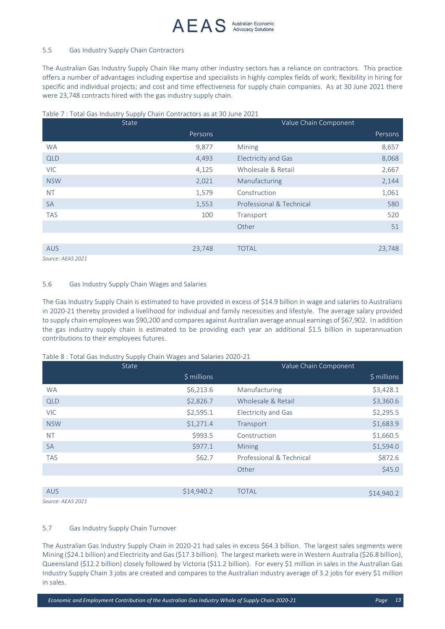

#### 5.5 Gas Industry Supply Chain Contractors

The Australian Gas Industry Supply Chain like many other industry sectors has a reliance on contractors. This practice offers a number of advantages including expertise and specialists in highly complex fields of work; flexibility in hiring for specific and individual projects; and cost and time effectiveness for supply chain companies. As at 30 June 2021 there were 23,748 contracts hired with the gas industry supply chain.

#### Table 7 : Total Gas Industry Supply Chain Contractors as at 30 June 2021

| State      |         | Value Chain Component      |         |
|------------|---------|----------------------------|---------|
|            | Persons |                            | Persons |
| <b>WA</b>  | 9,877   | Mining                     | 8,657   |
| QLD        | 4,493   | <b>Electricity and Gas</b> | 8,068   |
| <b>VIC</b> | 4,125   | Wholesale & Retail         | 2,667   |
| <b>NSW</b> | 2,021   | Manufacturing              | 2,144   |
| <b>NT</b>  | 1,579   | Construction               | 1,061   |
| <b>SA</b>  | 1,553   | Professional & Technical   | 580     |
| <b>TAS</b> | 100     | Transport                  | 520     |
|            |         | Other                      | 51      |
|            |         |                            |         |
| <b>AUS</b> | 23,748  | <b>TOTAL</b>               | 23,748  |
|            |         |                            |         |

*Source: AEAS 2021*

#### 5.6 Gas Industry Supply Chain Wages and Salaries

The Gas Industry Supply Chain is estimated to have provided in excess of \$14.9 billion in wage and salaries to Australians in 2020-21 thereby provided a livelihood for individual and family necessities and lifestyle. The average salary provided to supply chain employees was \$90,200 and compares against Australian average annual earnings of \$67,902. In addition the gas industry supply chain is estimated to be providing each year an additional \$1.5 billion in superannuation contributions to their employees futures.

#### Table 8 : Total Gas Industry Supply Chain Wages and Salaries 2020-21

| State      |              | Value Chain Component    |                        |
|------------|--------------|--------------------------|------------------------|
|            | $$$ millions |                          | $\frac{1}{2}$ millions |
| <b>WA</b>  | \$6,213.6    | Manufacturing            | \$3,428.1              |
| <b>QLD</b> | \$2,826.7    | Wholesale & Retail       | \$3,360.6              |
| <b>VIC</b> | \$2,595.1    | Electricity and Gas      | \$2,295.5              |
| <b>NSW</b> | \$1,271.4    | Transport                | \$1,683.9              |
| <b>NT</b>  | \$993.5      | Construction             | \$1,660.5              |
| <b>SA</b>  | \$977.1      | Mining                   | \$1,594.0              |
| <b>TAS</b> | \$62.7       | Professional & Technical | \$872.6                |
|            |              | Other                    | \$45.0                 |
|            |              |                          |                        |
| <b>AUS</b> | \$14,940.2   | <b>TOTAL</b>             | \$14,940.2             |

*Source: AEAS 2021*

#### 5.7 Gas Industry Supply Chain Turnover

The Australian Gas Industry Supply Chain in 2020-21 had sales in excess \$64.3 billion. The largest sales segments were Mining (\$24.1 billion) and Electricity and Gas (\$17.3 billion). The largest markets were in Western Australia (\$26.8 billion), Queensland (\$12.2 billion) closely followed by Victoria (\$11.2 billion). For every \$1 million in sales in the Australian Gas Industry Supply Chain 3 jobs are created and compares to the Australian industry average of 3.2 jobs for every \$1 million in sales.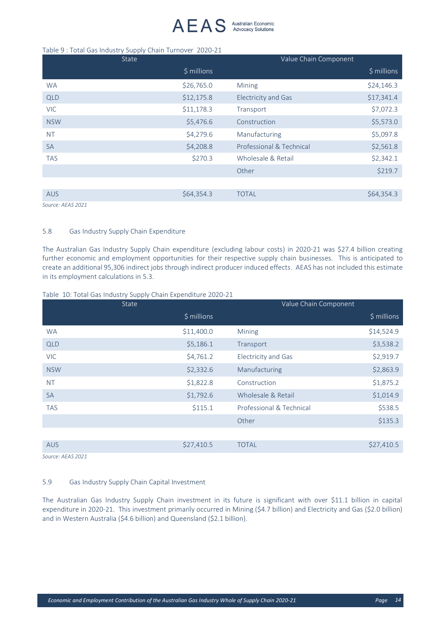

#### Table 9 : Total Gas Industry Supply Chain Turnover 2020-21

| <b>State</b>      |             | Value Chain Component      |              |
|-------------------|-------------|----------------------------|--------------|
|                   | \$ millions |                            | $$$ millions |
| <b>WA</b>         | \$26,765.0  | Mining                     | \$24,146.3   |
| QLD               | \$12,175.8  | <b>Electricity and Gas</b> | \$17,341.4   |
| <b>VIC</b>        | \$11,178.3  | Transport                  | \$7,072.3    |
| <b>NSW</b>        | \$5,476.6   | Construction               | \$5,573.0    |
| <b>NT</b>         | \$4,279.6   | Manufacturing              | \$5,097.8    |
| <b>SA</b>         | \$4,208.8   | Professional & Technical   | \$2,561.8    |
| <b>TAS</b>        | \$270.3     | Wholesale & Retail         | \$2,342.1    |
|                   |             | Other                      | \$219.7      |
|                   |             |                            |              |
| <b>AUS</b>        | \$64,354.3  | <b>TOTAL</b>               | \$64,354.3   |
| Source: AEAS 2021 |             |                            |              |

#### 5.8 Gas Industry Supply Chain Expenditure

The Australian Gas Industry Supply Chain expenditure (excluding labour costs) in 2020-21 was \$27.4 billion creating further economic and employment opportunities for their respective supply chain businesses. This is anticipated to create an additional 95,306 indirect jobs through indirect producer induced effects. AEAS has not included this estimate in its employment calculations in 5.3.

#### Table 10: Total Gas Industry Supply Chain Expenditure 2020-21

| State      |             | Value Chain Component      |              |
|------------|-------------|----------------------------|--------------|
|            | \$ millions |                            | $$$ millions |
| <b>WA</b>  | \$11,400.0  | Mining                     | \$14,524.9   |
| QLD        | \$5,186.1   | Transport                  | \$3,538.2    |
| <b>VIC</b> | \$4,761.2   | <b>Electricity and Gas</b> | \$2,919.7    |
| <b>NSW</b> | \$2,332.6   | Manufacturing              | \$2,863.9    |
| <b>NT</b>  | \$1,822.8   | Construction               | \$1,875.2    |
| <b>SA</b>  | \$1,792.6   | Wholesale & Retail         | \$1,014.9    |
| <b>TAS</b> | \$115.1     | Professional & Technical   | \$538.5      |
|            |             | Other                      | \$135.3      |
|            |             |                            |              |
| <b>AUS</b> | \$27,410.5  | <b>TOTAL</b>               | \$27,410.5   |

*Source: AEAS 2021*

#### 5.9 Gas Industry Supply Chain Capital Investment

The Australian Gas Industry Supply Chain investment in its future is significant with over \$11.1 billion in capital expenditure in 2020-21. This investment primarily occurred in Mining (\$4.7 billion) and Electricity and Gas (\$2.0 billion) and in Western Australia (\$4.6 billion) and Queensland (\$2.1 billion).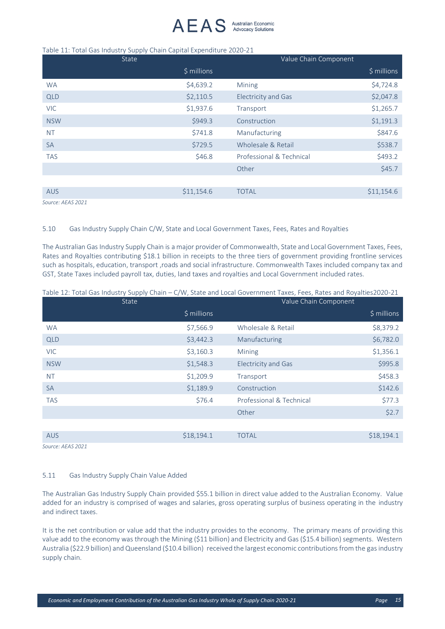

#### Table 11: Total Gas Industry Supply Chain Capital Expenditure 2020-21

| $\frac{1}{2}$ millions |
|------------------------|
|                        |
| \$4,724.8              |
| \$2,047.8              |
| \$1,265.7              |
| \$1,191.3              |
| \$847.6                |
| \$538.7                |
| \$493.2                |
| \$45.7                 |
|                        |
| \$11,154.6             |
|                        |

*Source: AEAS 2021*

#### 5.10 Gas Industry Supply Chain C/W, State and Local Government Taxes, Fees, Rates and Royalties

The Australian Gas Industry Supply Chain is a major provider of Commonwealth, State and Local Government Taxes, Fees, Rates and Royalties contributing \$18.1 billion in receipts to the three tiers of government providing frontline services such as hospitals, education, transport ,roads and social infrastructure. Commonwealth Taxes included company tax and GST, State Taxes included payroll tax, duties, land taxes and royalties and Local Government included rates.

|            | State        | Value Chain Component      |              |
|------------|--------------|----------------------------|--------------|
|            | $$$ millions |                            | $$$ millions |
| <b>WA</b>  | \$7,566.9    | Wholesale & Retail         | \$8,379.2    |
| QLD        | \$3,442.3    | Manufacturing              | \$6,782.0    |
| <b>VIC</b> | \$3,160.3    | Mining                     | \$1,356.1    |
| <b>NSW</b> | \$1,548.3    | <b>Electricity and Gas</b> | \$995.8      |
| <b>NT</b>  | \$1,209.9    | Transport                  | \$458.3      |
| <b>SA</b>  | \$1,189.9    | Construction               | \$142.6      |
| <b>TAS</b> | \$76.4       | Professional & Technical   | \$77.3       |
|            |              | Other                      | \$2.7        |
|            |              |                            |              |
| <b>AUS</b> | \$18,194.1   | <b>TOTAL</b>               | \$18,194.1   |

Table 12: Total Gas Industry Supply Chain – C/W, State and Local Government Taxes, Fees, Rates and Royalties2020-21

*Source: AEAS 2021*

#### 5.11 Gas Industry Supply Chain Value Added

The Australian Gas Industry Supply Chain provided \$55.1 billion in direct value added to the Australian Economy. Value added for an industry is comprised of wages and salaries, gross operating surplus of business operating in the industry and indirect taxes.

It is the net contribution or value add that the industry provides to the economy. The primary means of providing this value add to the economy was through the Mining (\$11 billion) and Electricity and Gas (\$15.4 billion) segments. Western Australia (\$22.9 billion) and Queensland (\$10.4 billion) received the largest economic contributions from the gas industry supply chain.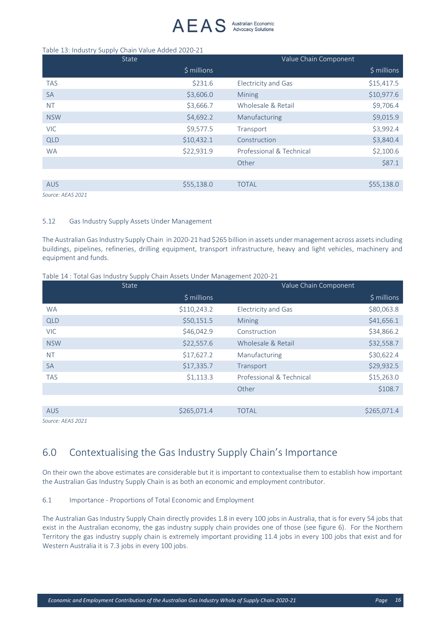

#### Table 13: Industry Supply Chain Value Added 2020-21

| State              |              | Value Chain Component    |              |  |
|--------------------|--------------|--------------------------|--------------|--|
|                    | $$$ millions |                          | $$$ millions |  |
| <b>TAS</b>         | \$231.6      | Electricity and Gas      | \$15,417.5   |  |
| <b>SA</b>          | \$3,606.0    | <b>Mining</b>            | \$10,977.6   |  |
| <b>NT</b>          | \$3,666.7    | Wholesale & Retail       | \$9,706.4    |  |
| <b>NSW</b>         | \$4,692.2    | Manufacturing            | \$9,015.9    |  |
| <b>VIC</b>         | \$9,577.5    | Transport                | \$3,992.4    |  |
| QLD                | \$10,432.1   | Construction             | \$3,840.4    |  |
| <b>WA</b>          | \$22,931.9   | Professional & Technical | \$2,100.6    |  |
|                    |              | Other                    | \$87.1       |  |
|                    |              |                          |              |  |
| <b>AUS</b>         | \$55,138.0   | <b>TOTAL</b>             | \$55,138.0   |  |
| SOLUTION AFAS 2021 |              |                          |              |  |

*Source: AEAS 2021*

#### 5.12 Gas Industry Supply Assets Under Management

The Australian Gas Industry Supply Chain in 2020-21 had \$265 billion in assets under management across assets including buildings, pipelines, refineries, drilling equipment, transport infrastructure, heavy and light vehicles, machinery and equipment and funds.

#### Table 14 : Total Gas Industry Supply Chain Assets Under Management 2020-21

|                                      | State        | Value Chain Component      |              |  |  |
|--------------------------------------|--------------|----------------------------|--------------|--|--|
|                                      | $$$ millions |                            | $$$ millions |  |  |
| <b>WA</b>                            | \$110,243.2  | <b>Electricity and Gas</b> | \$80,063.8   |  |  |
| <b>QLD</b>                           | \$50,151.5   | <b>Mining</b>              | \$41,656.1   |  |  |
| <b>VIC</b>                           | \$46,042.9   | Construction               | \$34,866.2   |  |  |
| <b>NSW</b>                           | \$22,557.6   | Wholesale & Retail         | \$32,558.7   |  |  |
| <b>NT</b>                            | \$17,627.2   | Manufacturing              | \$30,622.4   |  |  |
| <b>SA</b>                            | \$17,335.7   | Transport                  | \$29,932.5   |  |  |
| <b>TAS</b>                           | \$1,113.3    | Professional & Technical   | \$15,263.0   |  |  |
|                                      |              | Other                      | \$108.7      |  |  |
|                                      |              |                            |              |  |  |
| <b>AUS</b>                           | \$265,071.4  | <b>TOTAL</b>               | \$265,071.4  |  |  |
| $C_{\text{Alirco}}$ , $A E A C 2021$ |              |                            |              |  |  |

*Source: AEAS 2021*

### 6.0 Contextualising the Gas Industry Supply Chain's Importance

On their own the above estimates are considerable but it is important to contextualise them to establish how important the Australian Gas Industry Supply Chain is as both an economic and employment contributor.

6.1 Importance - Proportions of Total Economic and Employment

The Australian Gas Industry Supply Chain directly provides 1.8 in every 100 jobs in Australia, that is for every 54 jobs that exist in the Australian economy, the gas industry supply chain provides one of those (see figure 6). For the Northern Territory the gas industry supply chain is extremely important providing 11.4 jobs in every 100 jobs that exist and for Western Australia it is 7.3 jobs in every 100 jobs.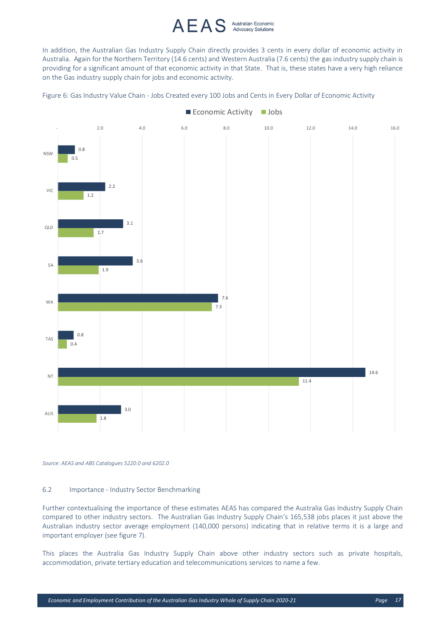

In addition, the Australian Gas Industry Supply Chain directly provides 3 cents in every dollar of economic activity in Australia. Again for the Northern Territory (14.6 cents) and Western Australia (7.6 cents) the gas industry supply chain is providing for a significant amount of that economic activity in that State. That is, these states have a very high reliance on the Gas industry supply chain for jobs and economic activity.

Figure 6: Gas Industry Value Chain - Jobs Created every 100 Jobs and Cents in Every Dollar of Economic Activity



#### Economic Activity Jobs

*Source: AEAS and ABS Catalogues 5220.0 and 6202.0*

#### 6.2 Importance - Industry Sector Benchmarking

Further contextualising the importance of these estimates AEAS has compared the Australia Gas Industry Supply Chain compared to other industry sectors. The Australian Gas Industry Supply Chain's 165,538 jobs places it just above the Australian industry sector average employment (140,000 persons) indicating that in relative terms it is a large and important employer (see figure 7).

This places the Australia Gas Industry Supply Chain above other industry sectors such as private hospitals, accommodation, private tertiary education and telecommunications services to name a few.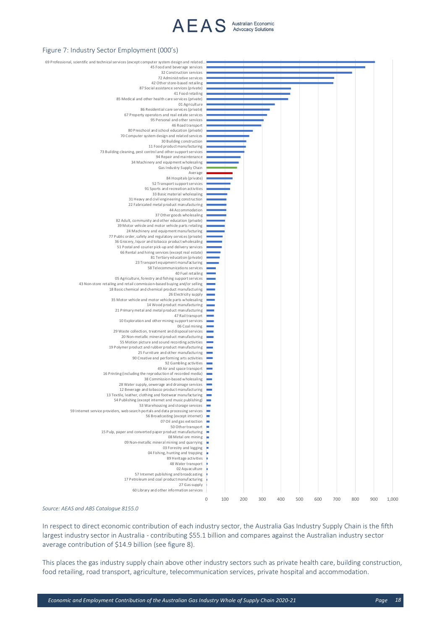

#### Figure 7: Industry Sector Employment (000's)

| 69 Professional, scientific and technical services (except computer system design and related |                          |     |     |     |     |     |     |     |            |       |
|-----------------------------------------------------------------------------------------------|--------------------------|-----|-----|-----|-----|-----|-----|-----|------------|-------|
| 45 Food and beverage services                                                                 |                          |     |     |     |     |     |     |     |            |       |
| 32 Construction services                                                                      |                          |     |     |     |     |     |     |     |            |       |
| 72 Administrative services                                                                    |                          |     |     |     |     |     |     |     |            |       |
| 42 Other store-based retailing                                                                |                          |     |     |     |     |     |     |     |            |       |
| 87 Social assistance services (private)                                                       |                          |     |     |     |     |     |     |     |            |       |
| 41 Food retailing                                                                             |                          |     |     |     |     |     |     |     |            |       |
| 85 Medical and other health care services (private)                                           |                          |     |     |     |     |     |     |     |            |       |
| 01 Agriculture                                                                                |                          |     |     |     |     |     |     |     |            |       |
| 86 Residential care services (private)                                                        |                          |     |     |     |     |     |     |     |            |       |
| 67 Property operators and real estate services                                                |                          |     |     |     |     |     |     |     |            |       |
| 95 Personal and other services                                                                |                          |     |     |     |     |     |     |     |            |       |
| 46 Road transport                                                                             |                          |     |     |     |     |     |     |     |            |       |
| 80 Preschool and school education (private)                                                   |                          |     |     |     |     |     |     |     |            |       |
| 70 Computer system design and related services                                                |                          |     |     |     |     |     |     |     |            |       |
| 30 Building construction                                                                      |                          |     |     |     |     |     |     |     |            |       |
| 11 Food product manufacturing                                                                 |                          |     |     |     |     |     |     |     |            |       |
| 73 Building cleaning, pest control and other support services                                 |                          |     |     |     |     |     |     |     |            |       |
| 94 Repair and maintenance                                                                     |                          |     |     |     |     |     |     |     |            |       |
| 34 Machinery and equipment wholesaling                                                        |                          |     |     |     |     |     |     |     |            |       |
|                                                                                               |                          |     |     |     |     |     |     |     |            |       |
| Gas Industry Supply Chain                                                                     |                          |     |     |     |     |     |     |     |            |       |
| Average                                                                                       |                          |     |     |     |     |     |     |     |            |       |
| 84 Hospitals (private)                                                                        |                          |     |     |     |     |     |     |     |            |       |
| 52 Transport support services                                                                 |                          |     |     |     |     |     |     |     |            |       |
| 91 Sports and recreation activities                                                           |                          |     |     |     |     |     |     |     |            |       |
| 33 Basic material wholesaling                                                                 |                          |     |     |     |     |     |     |     |            |       |
| 31 Heavy and civil engineering construction                                                   |                          |     |     |     |     |     |     |     |            |       |
| 22 Fabricated metal product manufacturing                                                     |                          |     |     |     |     |     |     |     |            |       |
| 44 Accommodation                                                                              |                          |     |     |     |     |     |     |     |            |       |
| 37 Other goods who lesaling                                                                   |                          |     |     |     |     |     |     |     |            |       |
| 82 Adult, community and other education (private)                                             |                          |     |     |     |     |     |     |     |            |       |
| 39 Motor vehicle and motor vehicle parts retailing                                            |                          |     |     |     |     |     |     |     |            |       |
| 24 Machinery and equipment manufacturing                                                      |                          |     |     |     |     |     |     |     |            |       |
| 77 Public order, safety and regulatory services (private)                                     |                          |     |     |     |     |     |     |     |            |       |
| 36 Grocery, liquor and to bacco product wholesaling                                           |                          |     |     |     |     |     |     |     |            |       |
| 51 Postal and courier pick-up and delivery services                                           |                          |     |     |     |     |     |     |     |            |       |
| 66 Rental and hiring services (except real estate)                                            |                          |     |     |     |     |     |     |     |            |       |
| 81 Tertiary education (private)                                                               |                          |     |     |     |     |     |     |     |            |       |
| 23 Transport equipment manufacturing                                                          |                          |     |     |     |     |     |     |     |            |       |
|                                                                                               |                          |     |     |     |     |     |     |     |            |       |
| 58 Telecommunications services                                                                |                          |     |     |     |     |     |     |     |            |       |
| 40 Fuel retailing                                                                             |                          |     |     |     |     |     |     |     |            |       |
| 05 Agriculture, forestry and fishing support services                                         |                          |     |     |     |     |     |     |     |            |       |
| 43 Non-store retailing and retail commission-based buying and/or selling                      |                          |     |     |     |     |     |     |     |            |       |
| 18 Basic chemical and chemical product manufacturing                                          |                          |     |     |     |     |     |     |     |            |       |
| 26 Electricity supply                                                                         |                          |     |     |     |     |     |     |     |            |       |
| 35 Motor vehicle and motor vehicle parts wholesaling                                          |                          |     |     |     |     |     |     |     |            |       |
| 14 Wood product manufacturing                                                                 |                          |     |     |     |     |     |     |     |            |       |
| 21 Primary metal and metal product manufacturing                                              |                          |     |     |     |     |     |     |     |            |       |
| 47 Rail transport                                                                             |                          |     |     |     |     |     |     |     |            |       |
| 10 Exploration and other mining support services                                              |                          |     |     |     |     |     |     |     |            |       |
| 06 Coal mining                                                                                |                          |     |     |     |     |     |     |     |            |       |
| 29 Waste collection, treatment and disposal services                                          |                          |     |     |     |     |     |     |     |            |       |
| 20 Non-metallic mineral product man ufacturing                                                |                          |     |     |     |     |     |     |     |            |       |
| 55 Motion picture and sound recording activities                                              |                          |     |     |     |     |     |     |     |            |       |
| 19 Polymer product and rubber product man ufacturing                                          |                          |     |     |     |     |     |     |     |            |       |
|                                                                                               |                          |     |     |     |     |     |     |     |            |       |
| 25 Furniture and other manufacturing                                                          |                          |     |     |     |     |     |     |     |            |       |
| 90 Creative and performing arts activities                                                    |                          |     |     |     |     |     |     |     |            |       |
| 92 Gambling activities                                                                        |                          |     |     |     |     |     |     |     |            |       |
| 49 Air and space transport                                                                    |                          |     |     |     |     |     |     |     |            |       |
| 16 Printing (including the reproduction of recorded media)                                    |                          |     |     |     |     |     |     |     |            |       |
| 38 Commission-based wholesaling                                                               |                          |     |     |     |     |     |     |     |            |       |
| 28 Water supply, sewerage and drainage services                                               | $\sim$                   |     |     |     |     |     |     |     |            |       |
| 12 Beverage and to bacco product manufacturing                                                | $\equiv$                 |     |     |     |     |     |     |     |            |       |
| 13 Textile, leather, clothing and footwear manufacturing                                      |                          |     |     |     |     |     |     |     |            |       |
| 54 Publishing (except internet and music publishing)                                          |                          |     |     |     |     |     |     |     |            |       |
|                                                                                               |                          |     |     |     |     |     |     |     |            |       |
| 53 Warehousing and storage services                                                           | $\overline{\phantom{a}}$ |     |     |     |     |     |     |     |            |       |
| 59 Internet service providers, web search portals and data processing services                |                          |     |     |     |     |     |     |     |            |       |
| 56 Broadcasting (except internet)                                                             |                          |     |     |     |     |     |     |     |            |       |
| 07 Oil and gas extraction                                                                     | ш                        |     |     |     |     |     |     |     |            |       |
| 50 Other transport                                                                            | ш                        |     |     |     |     |     |     |     |            |       |
| 15 Pulp, paper and converted paper product manufacturing                                      |                          |     |     |     |     |     |     |     |            |       |
| 08 Metal ore mining                                                                           |                          |     |     |     |     |     |     |     |            |       |
|                                                                                               |                          |     |     |     |     |     |     |     |            |       |
| 09 Non-metallic mineral mining and quarrying                                                  |                          |     |     |     |     |     |     |     |            |       |
| 03 Forestry and logging                                                                       | ш                        |     |     |     |     |     |     |     |            |       |
| 04 Fishing, hunting and trapping                                                              |                          |     |     |     |     |     |     |     |            |       |
| 89 Heritage activities                                                                        |                          |     |     |     |     |     |     |     |            |       |
| 48 Water transport                                                                            | л                        |     |     |     |     |     |     |     |            |       |
| 02 Aquaculture                                                                                |                          |     |     |     |     |     |     |     |            |       |
| 57 Internet publishing and broadcasting                                                       |                          |     |     |     |     |     |     |     |            |       |
| 17 Petroleum and coal product manufacturing                                                   |                          |     |     |     |     |     |     |     |            |       |
| 27 Gas supply                                                                                 |                          |     |     |     |     |     |     |     |            |       |
| 60 Library and other information services                                                     |                          |     |     |     |     |     |     |     |            |       |
|                                                                                               | 0                        | 100 | 200 | 300 | 400 | 500 | 600 | 700 | 800<br>900 | 1,000 |

*Source: AEAS and ABS Catalogue 8155.0*

In respect to direct economic contribution of each industry sector, the Australia Gas Industry Supply Chain is the fifth largest industry sector in Australia - contributing \$55.1 billion and compares against the Australian industry sector average contribution of \$14.9 billion (see figure 8).

This places the gas industry supply chain above other industry sectors such as private health care, building construction, food retailing, road transport, agriculture, telecommunication services, private hospital and accommodation.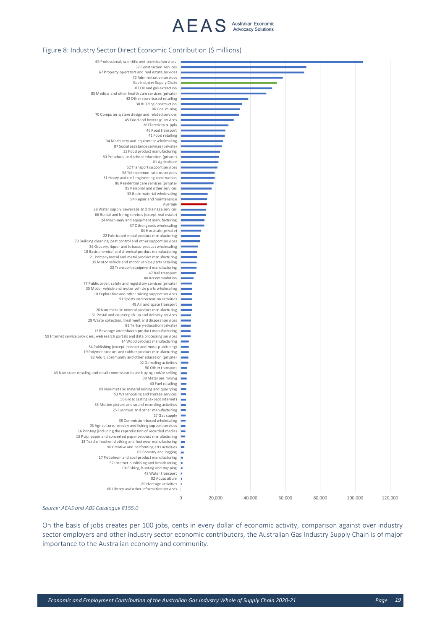

#### Figure 8: Industry Sector Direct Economic Contribution (\$ millions)



*Source: AEAS and ABS Catalogue 8155.0*

On the basis of jobs creates per 100 jobs, cents in every dollar of economic activity, comparison against over industry sector employers and other industry sector economic contributors, the Australian Gas Industry Supply Chain is of major importance to the Australian economy and community.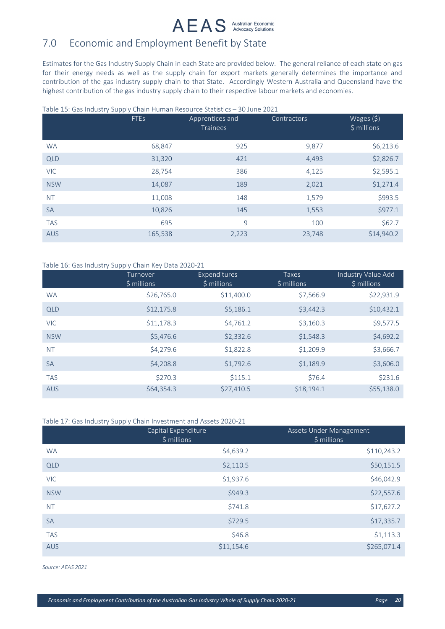## 7.0 Economic and Employment Benefit by State

Estimates for the Gas Industry Supply Chain in each State are provided below. The general reliance of each state on gas for their energy needs as well as the supply chain for export markets generally determines the importance and contribution of the gas industry supply chain to that State. Accordingly Western Australia and Queensland have the highest contribution of the gas industry supply chain to their respective labour markets and economies.

#### Table 15: Gas Industry Supply Chain Human Resource Statistics – 30 June 2021

| $\frac{1}{2}$ and $\frac{1}{2}$ and $\frac{1}{2}$ and $\frac{1}{2}$ and $\frac{1}{2}$ and $\frac{1}{2}$ and $\frac{1}{2}$ and $\frac{1}{2}$ and $\frac{1}{2}$ and $\frac{1}{2}$ and $\frac{1}{2}$ and $\frac{1}{2}$ and $\frac{1}{2}$ and $\frac{1}{2}$ and $\frac{1}{2}$ and $\frac{1}{2}$ a | <b>FTEs</b> | Apprentices and<br><b>Trainees</b> | Contractors | Wages $(5)$<br>$$$ millions |
|-----------------------------------------------------------------------------------------------------------------------------------------------------------------------------------------------------------------------------------------------------------------------------------------------|-------------|------------------------------------|-------------|-----------------------------|
| <b>WA</b>                                                                                                                                                                                                                                                                                     | 68,847      | 925                                | 9,877       | \$6,213.6                   |
| QLD                                                                                                                                                                                                                                                                                           | 31,320      | 421                                | 4,493       | \$2,826.7                   |
| <b>VIC</b>                                                                                                                                                                                                                                                                                    | 28,754      | 386                                | 4,125       | \$2,595.1                   |
| <b>NSW</b>                                                                                                                                                                                                                                                                                    | 14,087      | 189                                | 2,021       | \$1,271.4                   |
| <b>NT</b>                                                                                                                                                                                                                                                                                     | 11,008      | 148                                | 1,579       | \$993.5                     |
| <b>SA</b>                                                                                                                                                                                                                                                                                     | 10,826      | 145                                | 1,553       | \$977.1                     |
| <b>TAS</b>                                                                                                                                                                                                                                                                                    | 695         | 9                                  | 100         | \$62.7                      |
| <b>AUS</b>                                                                                                                                                                                                                                                                                    | 165,538     | 2,223                              | 23,748      | \$14,940.2                  |

#### Table 16: Gas Industry Supply Chain Key Data 2020-21

|            | Turnover<br>$$$ millions | Expenditures<br>$$$ millions | <b>Taxes</b><br>$$$ millions | Industry Value Add<br>$$$ millions |
|------------|--------------------------|------------------------------|------------------------------|------------------------------------|
| <b>WA</b>  | \$26,765.0               | \$11,400.0                   | \$7,566.9                    | \$22,931.9                         |
| QLD        | \$12,175.8               | \$5,186.1                    | \$3,442.3                    | \$10,432.1                         |
| <b>VIC</b> | \$11,178.3               | \$4,761.2                    | \$3,160.3                    | \$9,577.5                          |
| <b>NSW</b> | \$5,476.6                | \$2,332.6                    | \$1,548.3                    | \$4,692.2                          |
| <b>NT</b>  | \$4,279.6                | \$1,822.8                    | \$1,209.9                    | \$3,666.7                          |
| <b>SA</b>  | \$4,208.8                | \$1,792.6                    | \$1,189.9                    | \$3,606.0                          |
| <b>TAS</b> | \$270.3                  | \$115.1                      | \$76.4                       | \$231.6                            |
| <b>AUS</b> | \$64,354.3               | \$27,410.5                   | \$18,194.1                   | \$55,138.0                         |

#### Table 17: Gas Industry Supply Chain Investment and Assets 2020-21

|            | Capital Expenditure<br>$$$ millions | Assets Under Management<br>$$$ millions |
|------------|-------------------------------------|-----------------------------------------|
| <b>WA</b>  | \$4,639.2                           | \$110,243.2                             |
| QLD        | \$2,110.5                           | \$50,151.5                              |
| <b>VIC</b> | \$1,937.6                           | \$46,042.9                              |
| <b>NSW</b> | \$949.3                             | \$22,557.6                              |
| <b>NT</b>  | \$741.8                             | \$17,627.2                              |
| <b>SA</b>  | \$729.5                             | \$17,335.7                              |
| <b>TAS</b> | \$46.8                              | \$1,113.3                               |
| AUS        | \$11,154.6                          | \$265,071.4                             |

*Source: AEAS 2021*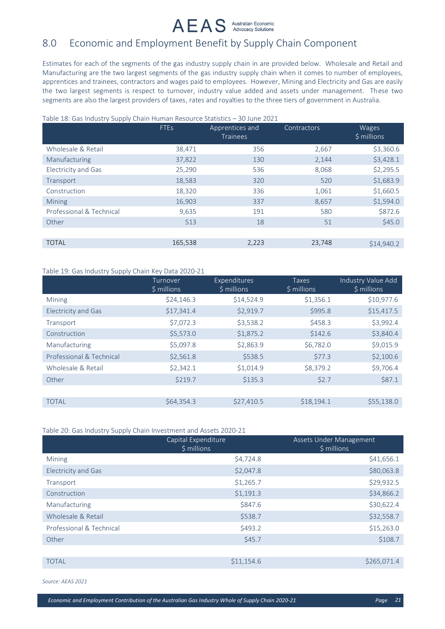## 8.0 Economic and Employment Benefit by Supply Chain Component

Estimates for each of the segments of the gas industry supply chain in are provided below. Wholesale and Retail and Manufacturing are the two largest segments of the gas industry supply chain when it comes to number of employees, apprentices and trainees, contractors and wages paid to employees. However, Mining and Electricity and Gas are easily the two largest segments is respect to turnover, industry value added and assets under management. These two segments are also the largest providers of taxes, rates and royalties to the three tiers of government in Australia.

#### Table 18: Gas Industry Supply Chain Human Resource Statistics – 30 June 2021

| .                          | <b>FTEs</b> | Apprentices and<br><b>Trainees</b> | Contractors | Wages<br>$$$ millions |
|----------------------------|-------------|------------------------------------|-------------|-----------------------|
| Wholesale & Retail         | 38,471      | 356                                | 2,667       | \$3,360.6             |
| Manufacturing              | 37,822      | 130                                | 2,144       | \$3,428.1             |
| <b>Electricity and Gas</b> | 25,290      | 536                                | 8,068       | \$2,295.5             |
| Transport                  | 18,583      | 320                                | 520         | \$1,683.9             |
| Construction               | 18,320      | 336                                | 1,061       | \$1,660.5             |
| <b>Mining</b>              | 16,903      | 337                                | 8,657       | \$1,594.0             |
| Professional & Technical   | 9,635       | 191                                | 580         | \$872.6               |
| Other                      | 513         | 18                                 | 51          | \$45.0                |
|                            |             |                                    |             |                       |
| <b>TOTAL</b>               | 165,538     | 2,223                              | 23,748      | \$14,940.2            |

#### Table 19: Gas Industry Supply Chain Key Data 2020-21

|                            | Turnover<br>$$$ millions | Expenditures<br>$$$ millions | <b>Taxes</b><br>$$$ millions | Industry Value Add<br>$$$ millions |
|----------------------------|--------------------------|------------------------------|------------------------------|------------------------------------|
| Mining                     | \$24,146.3               | \$14,524.9                   | \$1,356.1                    | \$10,977.6                         |
| <b>Electricity and Gas</b> | \$17,341.4               | \$2,919.7                    | \$995.8                      | \$15,417.5                         |
| Transport                  | \$7,072.3                | \$3,538.2                    | \$458.3                      | \$3,992.4                          |
| Construction               | \$5,573.0                | \$1,875.2                    | \$142.6                      | \$3,840.4                          |
| Manufacturing              | \$5,097.8                | \$2,863.9                    | \$6,782.0                    | \$9,015.9                          |
| Professional & Technical   | \$2,561.8                | \$538.5                      | \$77.3                       | \$2,100.6                          |
| Wholesale & Retail         | \$2,342.1                | \$1,014.9                    | \$8,379.2                    | \$9,706.4                          |
| Other                      | <b>\$219.7</b>           | \$135.3                      | \$2.7                        | \$87.1                             |
|                            |                          |                              |                              |                                    |
| <b>TOTAL</b>               | \$64,354.3               | \$27,410.5                   | \$18,194.1                   | \$55,138.0                         |

#### Table 20: Gas Industry Supply Chain Investment and Assets 2020-21

|                            | Capital Expenditure<br>$$$ millions | Assets Under Management<br>$$$ millions |
|----------------------------|-------------------------------------|-----------------------------------------|
| Mining                     | \$4,724.8                           | \$41,656.1                              |
| <b>Electricity and Gas</b> | \$2,047.8                           | \$80,063.8                              |
| Transport                  | \$1,265.7                           | \$29,932.5                              |
| Construction               | \$1,191.3                           | \$34,866.2                              |
| Manufacturing              | \$847.6                             | \$30,622.4                              |
| Wholesale & Retail         | \$538.7                             | \$32,558.7                              |
| Professional & Technical   | \$493.2                             | \$15,263.0                              |
| Other                      | \$45.7                              | \$108.7                                 |
|                            |                                     |                                         |
| <b>TOTAL</b>               | \$11,154.6                          | \$265,071.4                             |

*Source: AEAS 2021*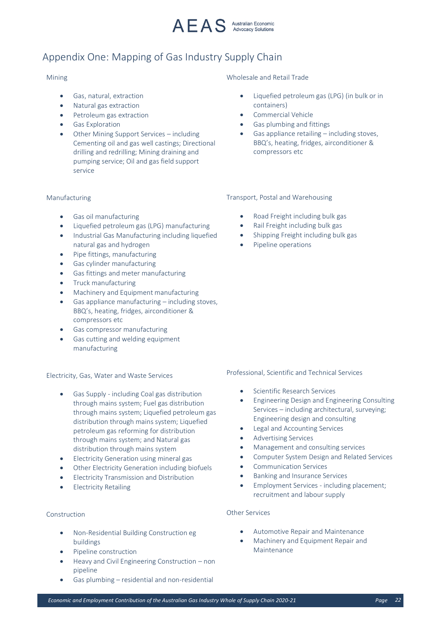

## Appendix One: Mapping of Gas Industry Supply Chain

#### Mining

- Gas, natural, extraction
- Natural gas extraction
- Petroleum gas extraction
- **Gas Exploration**
- Other Mining Support Services including Cementing oil and gas well castings; Directional drilling and redrilling; Mining draining and pumping service; Oil and gas field support service

#### Wholesale and Retail Trade

- Liquefied petroleum gas (LPG) (in bulk or in containers)
- Commercial Vehicle
- Gas plumbing and fittings
- Gas appliance retailing including stoves, BBQ's, heating, fridges, airconditioner & compressors etc

#### Manufacturing

- Gas oil manufacturing
- Liquefied petroleum gas (LPG) manufacturing
- Industrial Gas Manufacturing including liquefied natural gas and hydrogen
- Pipe fittings, manufacturing
- Gas cylinder manufacturing
- Gas fittings and meter manufacturing
- Truck manufacturing
- Machinery and Equipment manufacturing
- Gas appliance manufacturing including stoves, BBQ's, heating, fridges, airconditioner & compressors etc
- Gas compressor manufacturing
- Gas cutting and welding equipment manufacturing

#### Electricity, Gas, Water and Waste Services

- Gas Supply including Coal gas distribution through mains system; Fuel gas distribution through mains system; Liquefied petroleum gas distribution through mains system; Liquefied petroleum gas reforming for distribution through mains system; and Natural gas distribution through mains system
- Electricity Generation using mineral gas
- Other Electricity Generation including biofuels
- Electricity Transmission and Distribution
- **Electricity Retailing**

#### Construction

- Non-Residential Building Construction eg buildings
- Pipeline construction
- Heavy and Civil Engineering Construction non pipeline
- Gas plumbing residential and non-residential

#### Transport, Postal and Warehousing

- Road Freight including bulk gas
- Rail Freight including bulk gas
- Shipping Freight including bulk gas
- Pipeline operations

#### Professional, Scientific and Technical Services

- Scientific Research Services
- Engineering Design and Engineering Consulting Services – including architectural, surveying; Engineering design and consulting
- Legal and Accounting Services
- Advertising Services
- Management and consulting services
- Computer System Design and Related Services
- Communication Services
- Banking and Insurance Services
- Employment Services including placement; recruitment and labour supply

#### Other Services

- Automotive Repair and Maintenance
- Machinery and Equipment Repair and Maintenance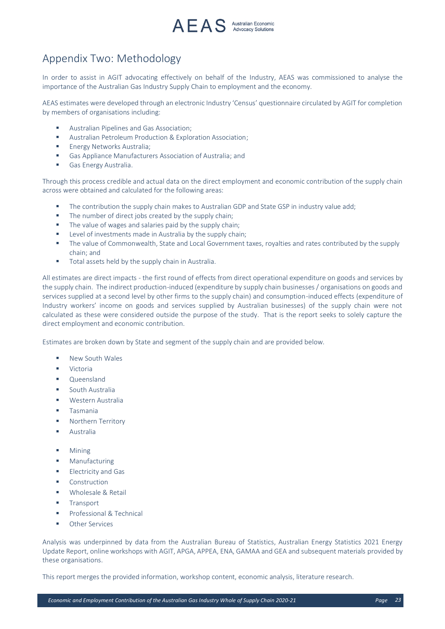

# Appendix Two: Methodology

In order to assist in AGIT advocating effectively on behalf of the Industry, AEAS was commissioned to analyse the importance of the Australian Gas Industry Supply Chain to employment and the economy.

AEAS estimates were developed through an electronic Industry 'Census' questionnaire circulated by AGIT for completion by members of organisations including:

- Australian Pipelines and Gas Association:
- Australian Petroleum Production & Exploration Association;
- **Energy Networks Australia;**
- Gas Appliance Manufacturers Association of Australia; and
- Gas Energy Australia.

Through this process credible and actual data on the direct employment and economic contribution of the supply chain across were obtained and calculated for the following areas:

- The contribution the supply chain makes to Australian GDP and State GSP in industry value add;
- The number of direct jobs created by the supply chain;
- The value of wages and salaries paid by the supply chain;
- Level of investments made in Australia by the supply chain;
- The value of Commonwealth, State and Local Government taxes, royalties and rates contributed by the supply chain; and
- Total assets held by the supply chain in Australia.

All estimates are direct impacts - the first round of effects from direct operational expenditure on goods and services by the supply chain. The indirect production-induced (expenditure by supply chain businesses / organisations on goods and services supplied at a second level by other firms to the supply chain) and consumption-induced effects (expenditure of Industry workers' income on goods and services supplied by Australian businesses) of the supply chain were not calculated as these were considered outside the purpose of the study. That is the report seeks to solely capture the direct employment and economic contribution.

Estimates are broken down by State and segment of the supply chain and are provided below.

- New South Wales
- Victoria
- Queensland
- South Australia
- Western Australia
- Tasmania
- Northern Territory
- Australia
- Mining
- Manufacturing
- **Electricity and Gas**
- Construction
- Wholesale & Retail
- Transport
- Professional & Technical
- Other Services

Analysis was underpinned by data from the Australian Bureau of Statistics, Australian Energy Statistics 2021 Energy Update Report, online workshops with AGIT, APGA, APPEA, ENA, GAMAA and GEA and subsequent materials provided by these organisations.

This report merges the provided information, workshop content, economic analysis, literature research.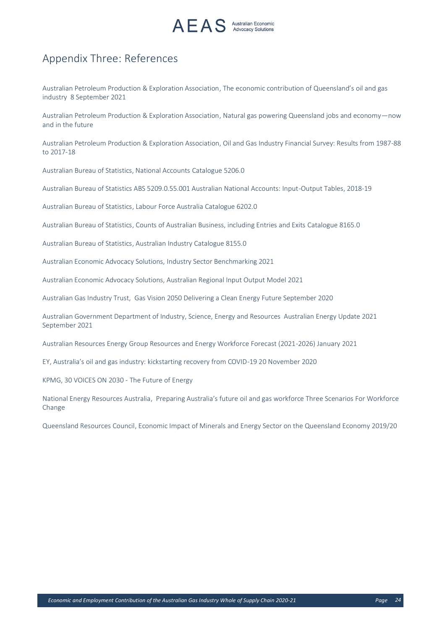## Appendix Three: References

Australian Petroleum Production & Exploration Association, The economic contribution of Queensland's oil and gas industry 8 September 2021

Australian Petroleum Production & Exploration Association, Natural gas powering Queensland jobs and economy—now and in the future

Australian Petroleum Production & Exploration Association, Oil and Gas Industry Financial Survey: Results from 1987-88 to 2017-18

Australian Bureau of Statistics, National Accounts Catalogue 5206.0

Australian Bureau of Statistics ABS 5209.0.55.001 Australian National Accounts: Input-Output Tables, 2018-19

Australian Bureau of Statistics, Labour Force Australia Catalogue 6202.0

Australian Bureau of Statistics, Counts of Australian Business, including Entries and Exits Catalogue 8165.0

Australian Bureau of Statistics, Australian Industry Catalogue 8155.0

Australian Economic Advocacy Solutions, Industry Sector Benchmarking 2021

Australian Economic Advocacy Solutions, Australian Regional Input Output Model 2021

Australian Gas Industry Trust, Gas Vision 2050 Delivering a Clean Energy Future September 2020

Australian Government Department of Industry, Science, Energy and Resources Australian Energy Update 2021 September 2021

Australian Resources Energy Group Resources and Energy Workforce Forecast (2021-2026) January 2021

EY, Australia's oil and gas industry: kickstarting recovery from COVID-19 20 November 2020

KPMG, 30 VOICES ON 2030 - The Future of Energy

National Energy Resources Australia, Preparing Australia's future oil and gas workforce Three Scenarios For Workforce Change

Queensland Resources Council, Economic Impact of Minerals and Energy Sector on the Queensland Economy 2019/20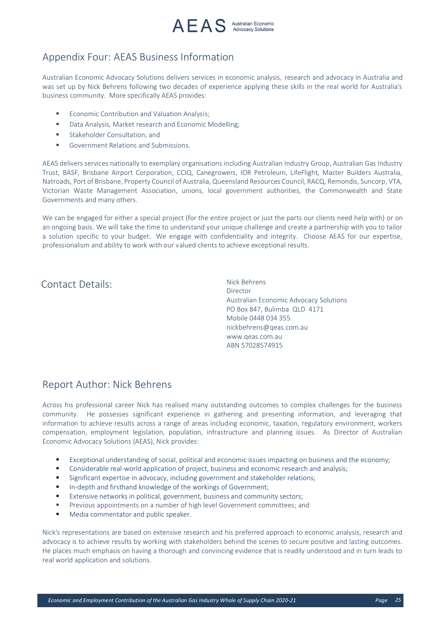

### Appendix Four: AEAS Business Information

Australian Economic Advocacy Solutions delivers services in economic analysis, research and advocacy in Australia and was set up by Nick Behrens following two decades of experience applying these skills in the real world for Australia's business community. More specifically AEAS provides:

- **Economic Contribution and Valuation Analysis:**
- Data Analysis, Market research and Economic Modelling:
- **■** Stakeholder Consultation; and
- Government Relations and Submissions.

AEAS delivers services nationally to exemplary organisations including Australian Industry Group, Australian Gas Industry Trust, BASF, Brisbane Airport Corporation, CCIQ, Canegrowers, IOR Petroleum, LifeFlight, Master Builders Australia, Natroads, Port of Brisbane, Property Council of Australia, Queensland Resources Council, RACQ, Remondis, Suncorp, VTA, Victorian Waste Management Association, unions, local government authorities, the Commonwealth and State Governments and many others.

We can be engaged for either a special project (for the entire project or just the parts our clients need help with) or on an ongoing basis. We will take the time to understand your unique challenge and create a partnership with you to tailor a solution specific to your budget. We engage with confidentiality and integrity. Choose AEAS for our expertise, professionalism and ability to work with our valued clients to achieve exceptional results.

### Contact Details: Nick Behrens

Director Australian Economic Advocacy Solutions PO Box 847, Bulimba QLD 4171 Mobile 0448 034 355 nickbehrens@qeas.com.au www.qeas.com.au ABN 57028574915

### Report Author: Nick Behrens

Across his professional career Nick has realised many outstanding outcomes to complex challenges for the business community. He possesses significant experience in gathering and presenting information, and leveraging that information to achieve results across a range of areas including economic, taxation, regulatory environment, workers compensation, employment legislation, population, infrastructure and planning issues. As Director of Australian Economic Advocacy Solutions (AEAS), Nick provides:

- Exceptional understanding of social, political and economic issues impacting on business and the economy;
- **•** Considerable real-world application of project, business and economic research and analysis;
- Significant expertise in advocacy, including government and stakeholder relations;
- In-depth and firsthand knowledge of the workings of Government;
- Extensive networks in political, government, business and community sectors;
- **•** [Previous appointments on a number of high level Government committees;](http://qeas.com.au/committees) and
- Media commentator and public speaker.

Nick's representations are based on extensive research and his preferred approach to economic analysis, research and advocacy is to achieve results by working with stakeholders behind the scenes to secure positive and lasting outcomes. He places much emphasis on having a thorough and convincing evidence that is readily understood and in turn leads to real world application and solutions.